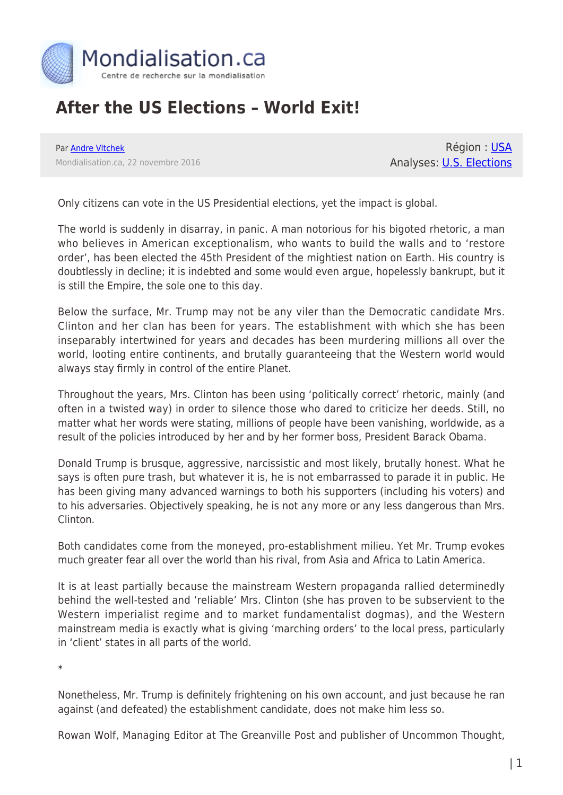

## **After the US Elections – World Exit!**

Par [Andre Vltchek](https://www.mondialisation.ca/author/andre-vltchek) Mondialisation.ca, 22 novembre 2016

Région : [USA](https://www.mondialisation.ca/region/usa) Analyses: **[U.S. Elections](https://www.mondialisation.ca/indepthreport/u-s-elections)** 

Only citizens can vote in the US Presidential elections, yet the impact is global.

The world is suddenly in disarray, in panic. A man notorious for his bigoted rhetoric, a man who believes in American exceptionalism, who wants to build the walls and to 'restore order', has been elected the 45th President of the mightiest nation on Earth. His country is doubtlessly in decline; it is indebted and some would even argue, hopelessly bankrupt, but it is still the Empire, the sole one to this day.

Below the surface, Mr. Trump may not be any viler than the Democratic candidate Mrs. Clinton and her clan has been for years. The establishment with which she has been inseparably intertwined for years and decades has been murdering millions all over the world, looting entire continents, and brutally guaranteeing that the Western world would always stay firmly in control of the entire Planet.

Throughout the years, Mrs. Clinton has been using 'politically correct' rhetoric, mainly (and often in a twisted way) in order to silence those who dared to criticize her deeds. Still, no matter what her words were stating, millions of people have been vanishing, worldwide, as a result of the policies introduced by her and by her former boss, President Barack Obama.

Donald Trump is brusque, aggressive, narcissistic and most likely, brutally honest. What he says is often pure trash, but whatever it is, he is not embarrassed to parade it in public. He has been giving many advanced warnings to both his supporters (including his voters) and to his adversaries. Objectively speaking, he is not any more or any less dangerous than Mrs. Clinton.

Both candidates come from the moneyed, pro-establishment milieu. Yet Mr. Trump evokes much greater fear all over the world than his rival, from Asia and Africa to Latin America.

It is at least partially because the mainstream Western propaganda rallied determinedly behind the well-tested and 'reliable' Mrs. Clinton (she has proven to be subservient to the Western imperialist regime and to market fundamentalist dogmas), and the Western mainstream media is exactly what is giving 'marching orders' to the local press, particularly in 'client' states in all parts of the world.

\*

Nonetheless, Mr. Trump is definitely frightening on his own account, and just because he ran against (and defeated) the establishment candidate, does not make him less so.

Rowan Wolf, Managing Editor at The Greanville Post and publisher of Uncommon Thought,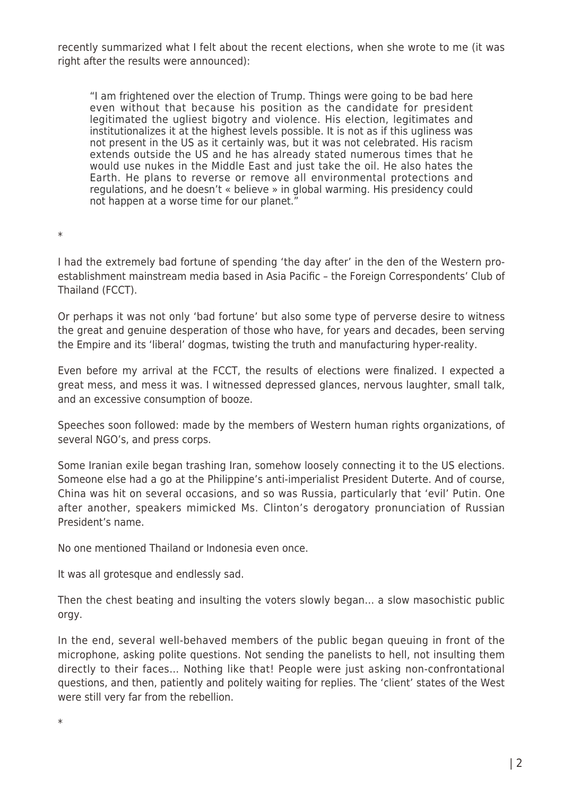recently summarized what I felt about the recent elections, when she wrote to me (it was right after the results were announced):

"I am frightened over the election of Trump. Things were going to be bad here even without that because his position as the candidate for president legitimated the ugliest bigotry and violence. His election, legitimates and institutionalizes it at the highest levels possible. It is not as if this ugliness was not present in the US as it certainly was, but it was not celebrated. His racism extends outside the US and he has already stated numerous times that he would use nukes in the Middle East and just take the oil. He also hates the Earth. He plans to reverse or remove all environmental protections and regulations, and he doesn't « believe » in global warming. His presidency could not happen at a worse time for our planet."

\*

I had the extremely bad fortune of spending 'the day after' in the den of the Western proestablishment mainstream media based in Asia Pacific – the Foreign Correspondents' Club of Thailand (FCCT).

Or perhaps it was not only 'bad fortune' but also some type of perverse desire to witness the great and genuine desperation of those who have, for years and decades, been serving the Empire and its 'liberal' dogmas, twisting the truth and manufacturing hyper-reality.

Even before my arrival at the FCCT, the results of elections were finalized. I expected a great mess, and mess it was. I witnessed depressed glances, nervous laughter, small talk, and an excessive consumption of booze.

Speeches soon followed: made by the members of Western human rights organizations, of several NGO's, and press corps.

Some Iranian exile began trashing Iran, somehow loosely connecting it to the US elections. Someone else had a go at the Philippine's anti-imperialist President Duterte. And of course, China was hit on several occasions, and so was Russia, particularly that 'evil' Putin. One after another, speakers mimicked Ms. Clinton's derogatory pronunciation of Russian President's name.

No one mentioned Thailand or Indonesia even once.

It was all grotesque and endlessly sad.

Then the chest beating and insulting the voters slowly began… a slow masochistic public orgy.

In the end, several well-behaved members of the public began queuing in front of the microphone, asking polite questions. Not sending the panelists to hell, not insulting them directly to their faces… Nothing like that! People were just asking non-confrontational questions, and then, patiently and politely waiting for replies. The 'client' states of the West were still very far from the rebellion.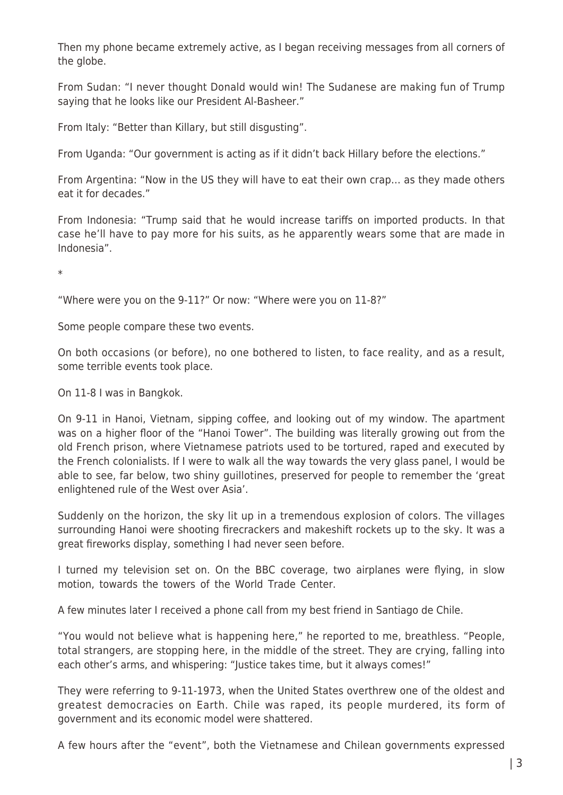Then my phone became extremely active, as I began receiving messages from all corners of the globe.

From Sudan: "I never thought Donald would win! The Sudanese are making fun of Trump saying that he looks like our President Al-Basheer."

From Italy: "Better than Killary, but still disgusting".

From Uganda: "Our government is acting as if it didn't back Hillary before the elections."

From Argentina: "Now in the US they will have to eat their own crap… as they made others eat it for decades."

From Indonesia: "Trump said that he would increase tariffs on imported products. In that case he'll have to pay more for his suits, as he apparently wears some that are made in Indonesia".

\*

"Where were you on the 9-11?" Or now: "Where were you on 11-8?"

Some people compare these two events.

On both occasions (or before), no one bothered to listen, to face reality, and as a result, some terrible events took place.

On 11-8 I was in Bangkok.

On 9-11 in Hanoi, Vietnam, sipping coffee, and looking out of my window. The apartment was on a higher floor of the "Hanoi Tower". The building was literally growing out from the old French prison, where Vietnamese patriots used to be tortured, raped and executed by the French colonialists. If I were to walk all the way towards the very glass panel, I would be able to see, far below, two shiny guillotines, preserved for people to remember the 'great enlightened rule of the West over Asia'.

Suddenly on the horizon, the sky lit up in a tremendous explosion of colors. The villages surrounding Hanoi were shooting firecrackers and makeshift rockets up to the sky. It was a great fireworks display, something I had never seen before.

I turned my television set on. On the BBC coverage, two airplanes were flying, in slow motion, towards the towers of the World Trade Center.

A few minutes later I received a phone call from my best friend in Santiago de Chile.

"You would not believe what is happening here," he reported to me, breathless. "People, total strangers, are stopping here, in the middle of the street. They are crying, falling into each other's arms, and whispering: "Justice takes time, but it always comes!"

They were referring to 9-11-1973, when the United States overthrew one of the oldest and greatest democracies on Earth. Chile was raped, its people murdered, its form of government and its economic model were shattered.

A few hours after the "event", both the Vietnamese and Chilean governments expressed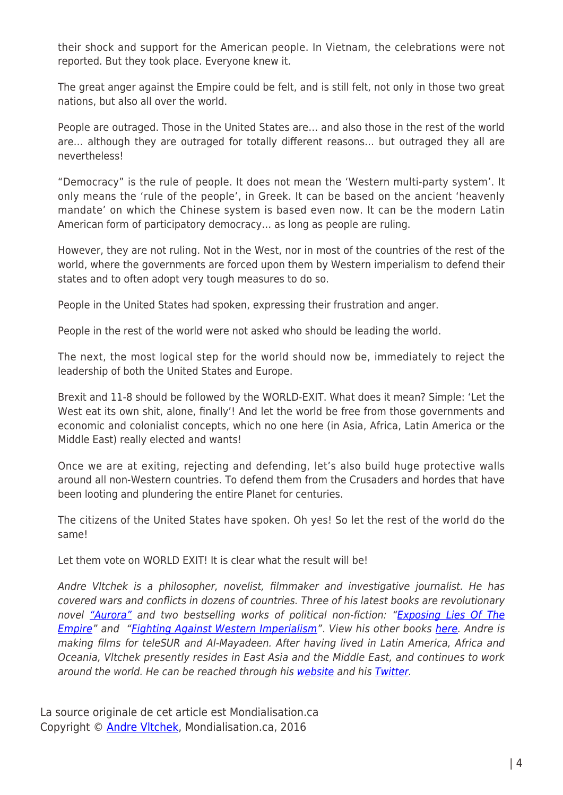their shock and support for the American people. In Vietnam, the celebrations were not reported. But they took place. Everyone knew it.

The great anger against the Empire could be felt, and is still felt, not only in those two great nations, but also all over the world.

People are outraged. Those in the United States are… and also those in the rest of the world are… although they are outraged for totally different reasons… but outraged they all are nevertheless!

"Democracy" is the rule of people. It does not mean the 'Western multi-party system'. It only means the 'rule of the people', in Greek. It can be based on the ancient 'heavenly mandate' on which the Chinese system is based even now. It can be the modern Latin American form of participatory democracy… as long as people are ruling.

However, they are not ruling. Not in the West, nor in most of the countries of the rest of the world, where the governments are forced upon them by Western imperialism to defend their states and to often adopt very tough measures to do so.

People in the United States had spoken, expressing their frustration and anger.

People in the rest of the world were not asked who should be leading the world.

The next, the most logical step for the world should now be, immediately to reject the leadership of both the United States and Europe.

Brexit and 11-8 should be followed by the WORLD-EXIT. What does it mean? Simple: 'Let the West eat its own shit, alone, finally'! And let the world be free from those governments and economic and colonialist concepts, which no one here (in Asia, Africa, Latin America or the Middle East) really elected and wants!

Once we are at exiting, rejecting and defending, let's also build huge protective walls around all non-Western countries. To defend them from the Crusaders and hordes that have been looting and plundering the entire Planet for centuries.

The citizens of the United States have spoken. Oh yes! So let the rest of the world do the same!

Let them vote on WORLD EXIT! It is clear what the result will be!

Andre Vltchek is a philosopher, novelist, filmmaker and investigative journalist. He has covered wars and conflicts in dozens of countries. Three of his latest books are revolutionary novel ["Aurora"](https://www.amazon.com/Aurora-Andre-Vltchek/dp/6027354364/) and two bestselling works of political non-fiction: ["Exposing Lies Of The](https://www.amazon.com/Exposing-Lies-Empire-Andre-Vltchek/dp/6027005866) [Empire"](https://www.amazon.com/Exposing-Lies-Empire-Andre-Vltchek/dp/6027005866) and ["Fighting Against Western Imperialism"](https://www.amazon.com/Fighting-Against-Western-Imperialism-Vltchek/dp/6027005823). View his other books [here](http://andrevltchek.weebly.com/books.html). Andre is making films for teleSUR and Al-Mayadeen. After having lived in Latin America, Africa and Oceania, Vltchek presently resides in East Asia and the Middle East, and continues to work around the world. He can be reached through his [website](http://andrevltchek.weebly.com/) and his [Twitter](https://twitter.com/AndreVltchek).

La source originale de cet article est Mondialisation.ca Copyright © [Andre Vltchek,](https://www.mondialisation.ca/author/andre-vltchek) Mondialisation.ca, 2016